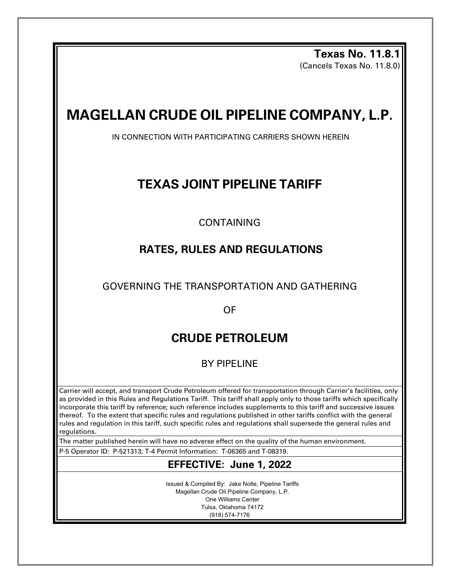**Texas No. 11.8.1**  (Cancels Texas No. 11.8.0)

# **MAGELLAN CRUDE OIL PIPELINE COMPANY, L.P.**

IN CONNECTION WITH PARTICIPATING CARRIERS SHOWN HEREIN

## **TEXAS JOINT PIPELINE TARIFF**

CONTAINING

## **RATES, RULES AND REGULATIONS**

GOVERNING THE TRANSPORTATION AND GATHERING

OF

## **CRUDE PETROLEUM**

BY PIPELINE

Carrier will accept, and transport Crude Petroleum offered for transportation through Carrier's facilities, only as provided in this Rules and Regulations Tariff. This tariff shall apply only to those tariffs which specifically incorporate this tariff by reference; such reference includes supplements to this tariff and successive issues thereof. To the extent that specific rules and regulations published in other tariffs conflict with the general rules and regulation in this tariff, such specific rules and regulations shall supersede the general rules and regulations.

The matter published herein will have no adverse effect on the quality of the human environment.

P-5 Operator ID: P-521313; T-4 Permit Information: T-06365 and T-08319.

### **EFFECTIVE: June 1, 2022**

Issued & Compiled By: Jake Nolte, Pipeline Tariffs Magellan Crude Oil Pipeline Company, L.P. One Williams Center Tulsa, Oklahoma 74172 (918) 574-7176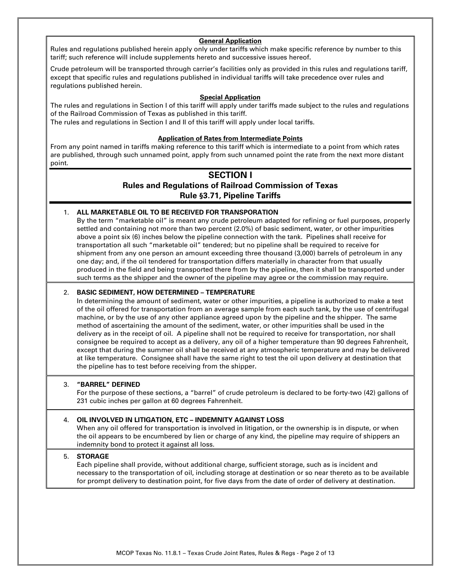#### **General Application**

Rules and regulations published herein apply only under tariffs which make specific reference by number to this tariff; such reference will include supplements hereto and successive issues hereof**.** 

Crude petroleum will be transported through carrier's facilities only as provided in this rules and regulations tariff, except that specific rules and regulations published in individual tariffs will take precedence over rules and regulations published herein.

#### **Special Application**

The rules and regulations in Section I of this tariff will apply under tariffs made subject to the rules and regulations of the Railroad Commission of Texas as published in this tariff. The rules and regulations in Section I and II of this tariff will apply under local tariffs.

#### **Application of Rates from Intermediate Points**

From any point named in tariffs making reference to this tariff which is intermediate to a point from which rates are published, through such unnamed point, apply from such unnamed point the rate from the next more distant point.

#### **SECTION I**

### **Rules and Regulations of Railroad Commission of Texas Rule §3.71, Pipeline Tariffs**

#### 1. **ALL MARKETABLE OIL TO BE RECEIVED FOR TRANSPORATION**

By the term "marketable oil" is meant any crude petroleum adapted for refining or fuel purposes, properly settled and containing not more than two percent (2.0%) of basic sediment, water, or other impurities above a point six (6) inches below the pipeline connection with the tank. Pipelines shall receive for transportation all such "marketable oil" tendered; but no pipeline shall be required to receive for shipment from any one person an amount exceeding three thousand (3,000) barrels of petroleum in any one day; and, if the oil tendered for transportation differs materially in character from that usually produced in the field and being transported there from by the pipeline, then it shall be transported under such terms as the shipper and the owner of the pipeline may agree or the commission may require.

#### 2. **BASIC SEDIMENT, HOW DETERMINED – TEMPERATURE**

In determining the amount of sediment, water or other impurities, a pipeline is authorized to make a test of the oil offered for transportation from an average sample from each such tank, by the use of centrifugal machine, or by the use of any other appliance agreed upon by the pipeline and the shipper. The same method of ascertaining the amount of the sediment, water, or other impurities shall be used in the delivery as in the receipt of oil. A pipeline shall not be required to receive for transportation, nor shall consignee be required to accept as a delivery, any oil of a higher temperature than 90 degrees Fahrenheit, except that during the summer oil shall be received at any atmospheric temperature and may be delivered at like temperature. Consignee shall have the same right to test the oil upon delivery at destination that the pipeline has to test before receiving from the shipper**.** 

#### 3. **"BARREL" DEFINED**

For the purpose of these sections, a "barrel" of crude petroleum is declared to be forty-two (42) gallons of 231 cubic inches per gallon at 60 degrees Fahrenheit.

#### 4. **OIL INVOLVED IN LITIGATION, ETC – INDEMNITY AGAINST LOSS**

When any oil offered for transportation is involved in litigation, or the ownership is in dispute, or when the oil appears to be encumbered by lien or charge of any kind, the pipeline may require of shippers an indemnity bond to protect it against all loss.

#### 5. **STORAGE**

Each pipeline shall provide, without additional charge, sufficient storage, such as is incident and necessary to the transportation of oil, including storage at destination or so near thereto as to be available for prompt delivery to destination point, for five days from the date of order of delivery at destination.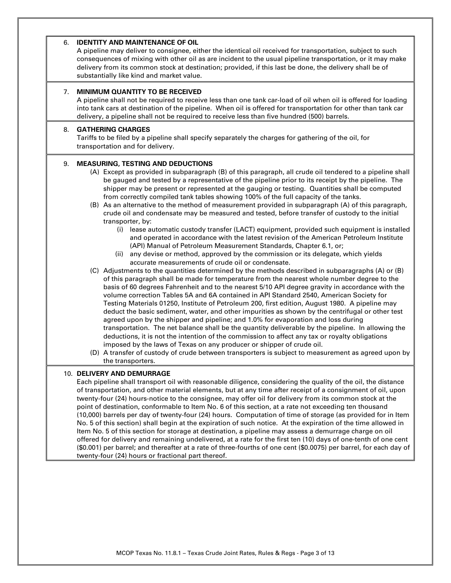#### 6. **IDENTITY AND MAINTENANCE OF OIL**

A pipeline may deliver to consignee, either the identical oil received for transportation, subject to such consequences of mixing with other oil as are incident to the usual pipeline transportation, or it may make delivery from its common stock at destination; provided, if this last be done, the delivery shall be of substantially like kind and market value.

#### 7. **MINIMUM QUANTITY TO BE RECEIVED**

A pipeline shall not be required to receive less than one tank car-load of oil when oil is offered for loading into tank cars at destination of the pipeline. When oil is offered for transportation for other than tank car delivery, a pipeline shall not be required to receive less than five hundred (500) barrels.

#### 8. **GATHERING CHARGES**

Tariffs to be filed by a pipeline shall specify separately the charges for gathering of the oil, for transportation and for delivery.

#### 9. **MEASURING, TESTING AND DEDUCTIONS**

- (A) Except as provided in subparagraph (B) of this paragraph, all crude oil tendered to a pipeline shall be gauged and tested by a representative of the pipeline prior to its receipt by the pipeline. The shipper may be present or represented at the gauging or testing. Quantities shall be computed from correctly compiled tank tables showing 100% of the full capacity of the tanks.
- (B) As an alternative to the method of measurement provided in subparagraph (A) of this paragraph, crude oil and condensate may be measured and tested, before transfer of custody to the initial transporter, by:
	- (i) lease automatic custody transfer (LACT) equipment, provided such equipment is installed and operated in accordance with the latest revision of the American Petroleum Institute (API) Manual of Petroleum Measurement Standards, Chapter 6.1, or;
	- (ii) any devise or method, approved by the commission or its delegate, which yields accurate measurements of crude oil or condensate.
- (C) Adjustments to the quantities determined by the methods described in subparagraphs (A) or (B) of this paragraph shall be made for temperature from the nearest whole number degree to the basis of 60 degrees Fahrenheit and to the nearest 5/10 API degree gravity in accordance with the volume correction Tables 5A and 6A contained in API Standard 2540, American Society for Testing Materials 01250, Institute of Petroleum 200, first edition, August 1980. A pipeline may deduct the basic sediment, water, and other impurities as shown by the centrifugal or other test agreed upon by the shipper and pipeline; and 1.0% for evaporation and loss during transportation. The net balance shall be the quantity deliverable by the pipeline. In allowing the deductions, it is not the intention of the commission to affect any tax or royalty obligations imposed by the laws of Texas on any producer or shipper of crude oil.
- (D) A transfer of custody of crude between transporters is subject to measurement as agreed upon by the transporters.

#### 10. **DELIVERY AND DEMURRAGE**

Each pipeline shall transport oil with reasonable diligence, considering the quality of the oil, the distance of transportation, and other material elements, but at any time after receipt of a consignment of oil, upon twenty-four (24) hours-notice to the consignee, may offer oil for delivery from its common stock at the point of destination, conformable to Item No. 6 of this section, at a rate not exceeding ten thousand (10,000) barrels per day of twenty-four (24) hours. Computation of time of storage (as provided for in Item No. 5 of this section) shall begin at the expiration of such notice. At the expiration of the time allowed in Item No. 5 of this section for storage at destination, a pipeline may assess a demurrage charge on oil offered for delivery and remaining undelivered, at a rate for the first ten (10) days of one-tenth of one cent (\$0.001) per barrel; and thereafter at a rate of three-fourths of one cent (\$0.0075) per barrel, for each day of twenty-four (24) hours or fractional part thereof.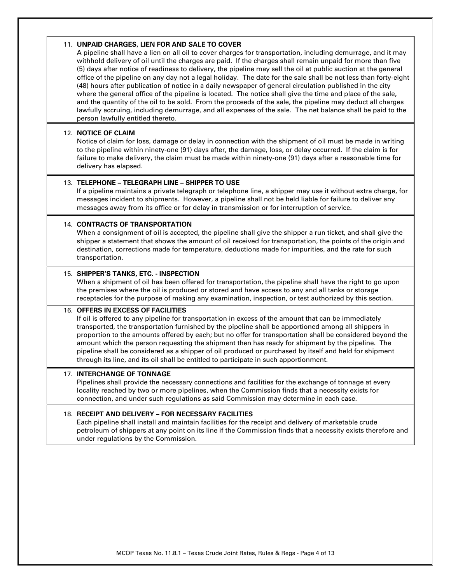#### 11. **UNPAID CHARGES, LIEN FOR AND SALE TO COVER**

A pipeline shall have a lien on all oil to cover charges for transportation, including demurrage, and it may withhold delivery of oil until the charges are paid. If the charges shall remain unpaid for more than five (5) days after notice of readiness to delivery, the pipeline may sell the oil at public auction at the general office of the pipeline on any day not a legal holiday. The date for the sale shall be not less than forty-eight (48) hours after publication of notice in a daily newspaper of general circulation published in the city where the general office of the pipeline is located. The notice shall give the time and place of the sale, and the quantity of the oil to be sold. From the proceeds of the sale, the pipeline may deduct all charges lawfully accruing, including demurrage, and all expenses of the sale. The net balance shall be paid to the person lawfully entitled thereto.

#### 12. **NOTICE OF CLAIM**

Notice of claim for loss, damage or delay in connection with the shipment of oil must be made in writing to the pipeline within ninety-one (91) days after, the damage, loss, or delay occurred. If the claim is for failure to make delivery, the claim must be made within ninety-one (91) days after a reasonable time for delivery has elapsed.

#### 13. **TELEPHONE – TELEGRAPH LINE – SHIPPER TO USE**

If a pipeline maintains a private telegraph or telephone line, a shipper may use it without extra charge, for messages incident to shipments. However, a pipeline shall not be held liable for failure to deliver any messages away from its office or for delay in transmission or for interruption of service.

#### 14. **CONTRACTS OF TRANSPORTATION**

When a consignment of oil is accepted, the pipeline shall give the shipper a run ticket, and shall give the shipper a statement that shows the amount of oil received for transportation, the points of the origin and destination, corrections made for temperature, deductions made for impurities, and the rate for such transportation.

#### 15. **SHIPPER'S TANKS, ETC. - INSPECTION**

When a shipment of oil has been offered for transportation, the pipeline shall have the right to go upon the premises where the oil is produced or stored and have access to any and all tanks or storage receptacles for the purpose of making any examination, inspection, or test authorized by this section.

#### 16. **OFFERS IN EXCESS OF FACILITIES**

If oil is offered to any pipeline for transportation in excess of the amount that can be immediately transported, the transportation furnished by the pipeline shall be apportioned among all shippers in proportion to the amounts offered by each; but no offer for transportation shall be considered beyond the amount which the person requesting the shipment then has ready for shipment by the pipeline. The pipeline shall be considered as a shipper of oil produced or purchased by itself and held for shipment through its line, and its oil shall be entitled to participate in such apportionment.

#### 17. **INTERCHANGE OF TONNAGE**

Pipelines shall provide the necessary connections and facilities for the exchange of tonnage at every locality reached by two or more pipelines, when the Commission finds that a necessity exists for connection, and under such regulations as said Commission may determine in each case.

#### 18. **RECEIPT AND DELIVERY – FOR NECESSARY FACILITIES**

Each pipeline shall install and maintain facilities for the receipt and delivery of marketable crude petroleum of shippers at any point on its line if the Commission finds that a necessity exists therefore and under regulations by the Commission.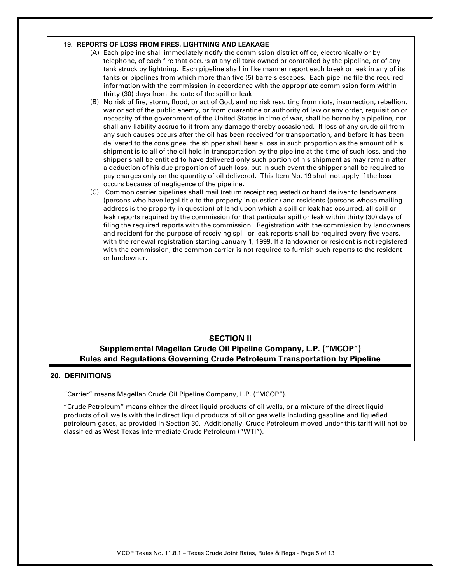#### 19. **REPORTS OF LOSS FROM FIRES, LIGHTNING AND LEAKAGE**

- (A) Each pipeline shall immediately notify the commission district office, electronically or by telephone, of each fire that occurs at any oil tank owned or controlled by the pipeline, or of any tank struck by lightning. Each pipeline shall in like manner report each break or leak in any of its tanks or pipelines from which more than five (5) barrels escapes. Each pipeline file the required information with the commission in accordance with the appropriate commission form within thirty (30) days from the date of the spill or leak
- (B) No risk of fire, storm, flood, or act of God, and no risk resulting from riots, insurrection, rebellion, war or act of the public enemy, or from quarantine or authority of law or any order, requisition or necessity of the government of the United States in time of war, shall be borne by a pipeline, nor shall any liability accrue to it from any damage thereby occasioned. If loss of any crude oil from any such causes occurs after the oil has been received for transportation, and before it has been delivered to the consignee, the shipper shall bear a loss in such proportion as the amount of his shipment is to all of the oil held in transportation by the pipeline at the time of such loss, and the shipper shall be entitled to have delivered only such portion of his shipment as may remain after a deduction of his due proportion of such loss, but in such event the shipper shall be required to pay charges only on the quantity of oil delivered. This Item No. 19 shall not apply if the loss occurs because of negligence of the pipeline.
- (C) Common carrier pipelines shall mail (return receipt requested) or hand deliver to landowners (persons who have legal title to the property in question) and residents (persons whose mailing address is the property in question) of land upon which a spill or leak has occurred, all spill or leak reports required by the commission for that particular spill or leak within thirty (30) days of filing the required reports with the commission. Registration with the commission by landowners and resident for the purpose of receiving spill or leak reports shall be required every five years, with the renewal registration starting January 1, 1999. If a landowner or resident is not registered with the commission, the common carrier is not required to furnish such reports to the resident or landowner.

#### **SECTION II Supplemental Magellan Crude Oil Pipeline Company, L.P. ("MCOP") Rules and Regulations Governing Crude Petroleum Transportation by Pipeline**

#### **20. DEFINITIONS**

"Carrier" means Magellan Crude Oil Pipeline Company, L.P. ("MCOP").

"Crude Petroleum" means either the direct liquid products of oil wells, or a mixture of the direct liquid products of oil wells with the indirect liquid products of oil or gas wells including gasoline and liquefied petroleum gases, as provided in Section 30. Additionally, Crude Petroleum moved under this tariff will not be classified as West Texas Intermediate Crude Petroleum ("WTI").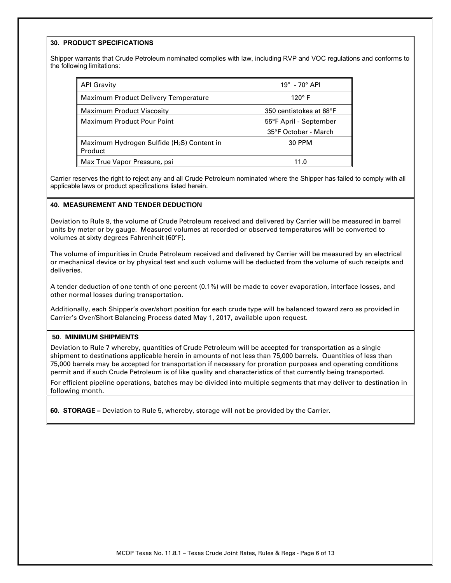#### **30. PRODUCT SPECIFICATIONS**

Shipper warrants that Crude Petroleum nominated complies with law, including RVP and VOC regulations and conforms to the following limitations:

| <b>API Gravity</b>                                                | $19^\circ$ - 70 $^\circ$ API |  |  |  |
|-------------------------------------------------------------------|------------------------------|--|--|--|
| Maximum Product Delivery Temperature                              | $120^\circ$ F                |  |  |  |
| <b>Maximum Product Viscosity</b><br>350 centistokes at 68°F       |                              |  |  |  |
| <b>Maximum Product Pour Point</b>                                 | 55°F April - September       |  |  |  |
|                                                                   | 35°F October - March         |  |  |  |
| Maximum Hydrogen Sulfide (H <sub>2</sub> S) Content in<br>Product | 30 PPM                       |  |  |  |
| Max True Vapor Pressure, psi                                      | 11 በ                         |  |  |  |

Carrier reserves the right to reject any and all Crude Petroleum nominated where the Shipper has failed to comply with all applicable laws or product specifications listed herein.

#### **40. MEASUREMENT AND TENDER DEDUCTION**

Deviation to Rule 9, the volume of Crude Petroleum received and delivered by Carrier will be measured in barrel units by meter or by gauge. Measured volumes at recorded or observed temperatures will be converted to volumes at sixty degrees Fahrenheit (60°F).

The volume of impurities in Crude Petroleum received and delivered by Carrier will be measured by an electrical or mechanical device or by physical test and such volume will be deducted from the volume of such receipts and deliveries.

A tender deduction of one tenth of one percent (0.1%) will be made to cover evaporation, interface losses, and other normal losses during transportation.

Additionally, each Shipper's over/short position for each crude type will be balanced toward zero as provided in Carrier's Over/Short Balancing Process dated May 1, 2017, available upon request.

#### **50. MINIMUM SHIPMENTS**

Deviation to Rule 7 whereby, quantities of Crude Petroleum will be accepted for transportation as a single shipment to destinations applicable herein in amounts of not less than 75,000 barrels. Quantities of less than 75,000 barrels may be accepted for transportation if necessary for proration purposes and operating conditions permit and if such Crude Petroleum is of like quality and characteristics of that currently being transported.

For efficient pipeline operations, batches may be divided into multiple segments that may deliver to destination in following month.

**60. STORAGE –** Deviation to Rule 5, whereby, storage will not be provided by the Carrier.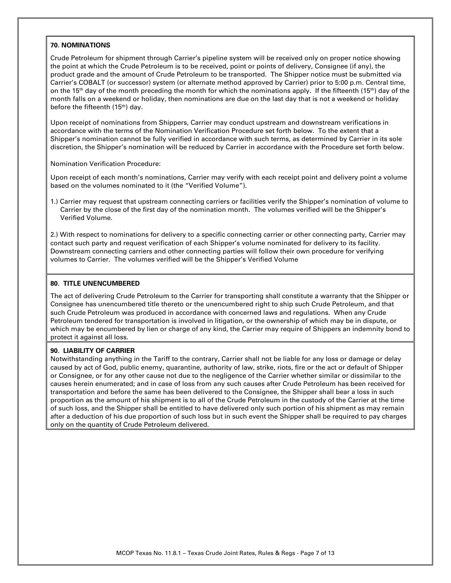#### **70. NOMINATIONS**

Crude Petroleum for shipment through Carrier's pipeline system will be received only on proper notice showing the point at which the Crude Petroleum is to be received, point or points of delivery, Consignee (if any), the product grade and the amount of Crude Petroleum to be transported. The Shipper notice must be submitted via Carrier's COBALT (or successor) system (or alternate method approved by Carrier) prior to 5:00 p.m. Central time, on the 15<sup>th</sup> day of the month preceding the month for which the nominations apply. If the fifteenth (15<sup>th</sup>) day of the month falls on a weekend or holiday, then nominations are due on the last day that is not a weekend or holiday before the fifteenth (15<sup>th</sup>) day.

Upon receipt of nominations from Shippers, Carrier may conduct upstream and downstream verifications in accordance with the terms of the Nomination Verification Procedure set forth below. To the extent that a Shipper's nomination cannot be fully verified in accordance with such terms, as determined by Carrier in its sole discretion, the Shipper's nomination will be reduced by Carrier in accordance with the Procedure set forth below.

#### Nomination Verification Procedure:

Upon receipt of each month's nominations, Carrier may verify with each receipt point and delivery point a volume based on the volumes nominated to it (the "Verified Volume").

1.) Carrier may request that upstream connecting carriers or facilities verify the Shipper's nomination of volume to Carrier by the close of the first day of the nomination month. The volumes verified will be the Shipper's Verified Volume.

2.) With respect to nominations for delivery to a specific connecting carrier or other connecting party, Carrier may contact such party and request verification of each Shipper's volume nominated for delivery to its facility. Downstream connecting carriers and other connecting parties will follow their own procedure for verifying volumes to Carrier. The volumes verified will be the Shipper's Verified Volume

#### **80. TITLE UNENCUMBERED**

The act of delivering Crude Petroleum to the Carrier for transporting shall constitute a warranty that the Shipper or Consignee has unencumbered title thereto or the unencumbered right to ship such Crude Petroleum, and that such Crude Petroleum was produced in accordance with concerned laws and regulations. When any Crude Petroleum tendered for transportation is involved in litigation, or the ownership of which may be in dispute, or which may be encumbered by lien or charge of any kind, the Carrier may require of Shippers an indemnity bond to protect it against all loss.

#### **90. LIABILITY OF CARRIER**

Notwithstanding anything in the Tariff to the contrary, Carrier shall not be liable for any loss or damage or delay caused by act of God, public enemy, quarantine, authority of law, strike, riots, fire or the act or default of Shipper or Consignee, or for any other cause not due to the negligence of the Carrier whether similar or dissimilar to the causes herein enumerated; and in case of loss from any such causes after Crude Petroleum has been received for transportation and before the same has been delivered to the Consignee, the Shipper shall bear a loss in such proportion as the amount of his shipment is to all of the Crude Petroleum in the custody of the Carrier at the time of such loss, and the Shipper shall be entitled to have delivered only such portion of his shipment as may remain after a deduction of his due proportion of such loss but in such event the Shipper shall be required to pay charges only on the quantity of Crude Petroleum delivered.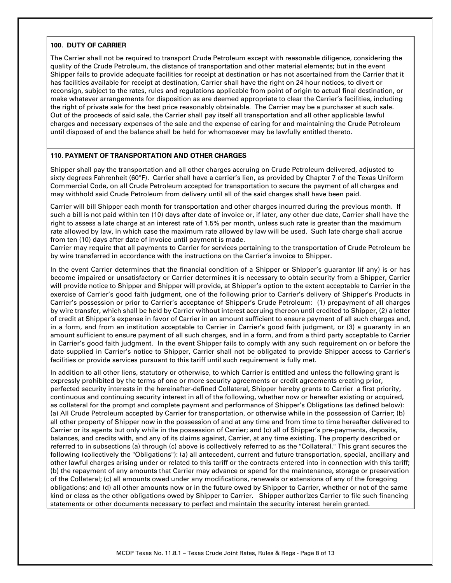#### **100. DUTY OF CARRIER**

The Carrier shall not be required to transport Crude Petroleum except with reasonable diligence, considering the quality of the Crude Petroleum, the distance of transportation and other material elements; but in the event Shipper fails to provide adequate facilities for receipt at destination or has not ascertained from the Carrier that it has facilities available for receipt at destination, Carrier shall have the right on 24 hour notices, to divert or reconsign, subject to the rates, rules and regulations applicable from point of origin to actual final destination, or make whatever arrangements for disposition as are deemed appropriate to clear the Carrier's facilities, including the right of private sale for the best price reasonably obtainable. The Carrier may be a purchaser at such sale. Out of the proceeds of said sale, the Carrier shall pay itself all transportation and all other applicable lawful charges and necessary expenses of the sale and the expense of caring for and maintaining the Crude Petroleum until disposed of and the balance shall be held for whomsoever may be lawfully entitled thereto.

#### **110. PAYMENT OF TRANSPORTATION AND OTHER CHARGES**

Shipper shall pay the transportation and all other charges accruing on Crude Petroleum delivered, adjusted to sixty degrees Fahrenheit (60°F). Carrier shall have a carrier's lien, as provided by Chapter 7 of the Texas Uniform Commercial Code, on all Crude Petroleum accepted for transportation to secure the payment of all charges and may withhold said Crude Petroleum from delivery until all of the said charges shall have been paid.

Carrier will bill Shipper each month for transportation and other charges incurred during the previous month. If such a bill is not paid within ten (10) days after date of invoice or, if later, any other due date, Carrier shall have the right to assess a late charge at an interest rate of 1.5% per month, unless such rate is greater than the maximum rate allowed by law, in which case the maximum rate allowed by law will be used. Such late charge shall accrue from ten (10) days after date of invoice until payment is made.

Carrier may require that all payments to Carrier for services pertaining to the transportation of Crude Petroleum be by wire transferred in accordance with the instructions on the Carrier's invoice to Shipper.

In the event Carrier determines that the financial condition of a Shipper or Shipper's guarantor (if any) is or has become impaired or unsatisfactory or Carrier determines it is necessary to obtain security from a Shipper, Carrier will provide notice to Shipper and Shipper will provide, at Shipper's option to the extent acceptable to Carrier in the exercise of Carrier's good faith judgment, one of the following prior to Carrier's delivery of Shipper's Products in Carrier's possession or prior to Carrier's acceptance of Shipper's Crude Petroleum: (1) prepayment of all charges by wire transfer, which shall be held by Carrier without interest accruing thereon until credited to Shipper, (2) a letter of credit at Shipper's expense in favor of Carrier in an amount sufficient to ensure payment of all such charges and, in a form, and from an institution acceptable to Carrier in Carrier's good faith judgment, or (3) a guaranty in an amount sufficient to ensure payment of all such charges, and in a form, and from a third party acceptable to Carrier in Carrier's good faith judgment. In the event Shipper fails to comply with any such requirement on or before the date supplied in Carrier's notice to Shipper, Carrier shall not be obligated to provide Shipper access to Carrier's facilities or provide services pursuant to this tariff until such requirement is fully met.

In addition to all other liens, statutory or otherwise, to which Carrier is entitled and unless the following grant is expressly prohibited by the terms of one or more security agreements or credit agreements creating prior, perfected security interests in the hereinafter-defined Collateral, Shipper hereby grants to Carrier a first priority, continuous and continuing security interest in all of the following, whether now or hereafter existing or acquired, as collateral for the prompt and complete payment and performance of Shipper's Obligations (as defined below): (a) All Crude Petroleum accepted by Carrier for transportation, or otherwise while in the possession of Carrier; (b) all other property of Shipper now in the possession of and at any time and from time to time hereafter delivered to Carrier or its agents but only while in the possession of Carrier; and (c) all of Shipper's pre-payments, deposits, balances, and credits with, and any of its claims against, Carrier, at any time existing. The property described or referred to in subsections (a) through (c) above is collectively referred to as the "Collateral." This grant secures the following (collectively the "Obligations"): (a) all antecedent, current and future transportation, special, ancillary and other lawful charges arising under or related to this tariff or the contracts entered into in connection with this tariff; (b) the repayment of any amounts that Carrier may advance or spend for the maintenance, storage or preservation of the Collateral; (c) all amounts owed under any modifications, renewals or extensions of any of the foregoing obligations; and (d) all other amounts now or in the future owed by Shipper to Carrier, whether or not of the same kind or class as the other obligations owed by Shipper to Carrier. Shipper authorizes Carrier to file such financing statements or other documents necessary to perfect and maintain the security interest herein granted.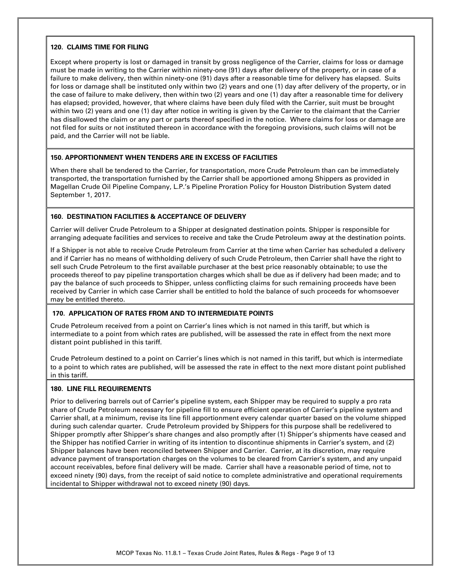#### **120. CLAIMS TIME FOR FILING**

Except where property is lost or damaged in transit by gross negligence of the Carrier, claims for loss or damage must be made in writing to the Carrier within ninety-one (91) days after delivery of the property, or in case of a failure to make delivery, then within ninety-one (91) days after a reasonable time for delivery has elapsed. Suits for loss or damage shall be instituted only within two (2) years and one (1) day after delivery of the property, or in the case of failure to make delivery, then within two (2) years and one (1) day after a reasonable time for delivery has elapsed; provided, however, that where claims have been duly filed with the Carrier, suit must be brought within two (2) years and one (1) day after notice in writing is given by the Carrier to the claimant that the Carrier has disallowed the claim or any part or parts thereof specified in the notice. Where claims for loss or damage are not filed for suits or not instituted thereon in accordance with the foregoing provisions, such claims will not be paid, and the Carrier will not be liable.

#### **150. APPORTIONMENT WHEN TENDERS ARE IN EXCESS OF FACILITIES**

When there shall be tendered to the Carrier, for transportation, more Crude Petroleum than can be immediately transported, the transportation furnished by the Carrier shall be apportioned among Shippers as provided in Magellan Crude Oil Pipeline Company, L.P.'s Pipeline Proration Policy for Houston Distribution System dated September 1, 2017.

#### **160. DESTINATION FACILITIES & ACCEPTANCE OF DELIVERY**

Carrier will deliver Crude Petroleum to a Shipper at designated destination points. Shipper is responsible for arranging adequate facilities and services to receive and take the Crude Petroleum away at the destination points.

If a Shipper is not able to receive Crude Petroleum from Carrier at the time when Carrier has scheduled a delivery and if Carrier has no means of withholding delivery of such Crude Petroleum, then Carrier shall have the right to sell such Crude Petroleum to the first available purchaser at the best price reasonably obtainable; to use the proceeds thereof to pay pipeline transportation charges which shall be due as if delivery had been made; and to pay the balance of such proceeds to Shipper, unless conflicting claims for such remaining proceeds have been received by Carrier in which case Carrier shall be entitled to hold the balance of such proceeds for whomsoever may be entitled thereto.

#### **170. APPLICATION OF RATES FROM AND TO INTERMEDIATE POINTS**

Crude Petroleum received from a point on Carrier's lines which is not named in this tariff, but which is intermediate to a point from which rates are published, will be assessed the rate in effect from the next more distant point published in this tariff.

Crude Petroleum destined to a point on Carrier's lines which is not named in this tariff, but which is intermediate to a point to which rates are published, will be assessed the rate in effect to the next more distant point published in this tariff.

#### **180. LINE FILL REQUIREMENTS**

Prior to delivering barrels out of Carrier's pipeline system, each Shipper may be required to supply a pro rata share of Crude Petroleum necessary for pipeline fill to ensure efficient operation of Carrier's pipeline system and Carrier shall, at a minimum, revise its line fill apportionment every calendar quarter based on the volume shipped during such calendar quarter. Crude Petroleum provided by Shippers for this purpose shall be redelivered to Shipper promptly after Shipper's share changes and also promptly after (1) Shipper's shipments have ceased and the Shipper has notified Carrier in writing of its intention to discontinue shipments in Carrier's system, and (2) Shipper balances have been reconciled between Shipper and Carrier. Carrier, at its discretion, may require advance payment of transportation charges on the volumes to be cleared from Carrier's system, and any unpaid account receivables, before final delivery will be made. Carrier shall have a reasonable period of time, not to exceed ninety (90) days, from the receipt of said notice to complete administrative and operational requirements incidental to Shipper withdrawal not to exceed ninety (90) days.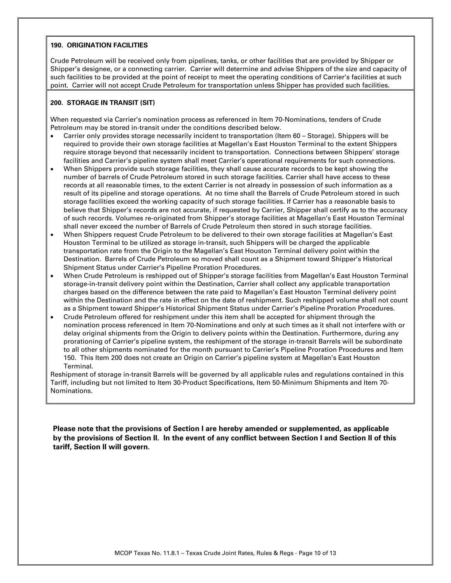#### **190. ORIGINATION FACILITIES**

Crude Petroleum will be received only from pipelines, tanks, or other facilities that are provided by Shipper or Shipper's designee, or a connecting carrier. Carrier will determine and advise Shippers of the size and capacity of such facilities to be provided at the point of receipt to meet the operating conditions of Carrier's facilities at such point. Carrier will not accept Crude Petroleum for transportation unless Shipper has provided such facilities.

#### **200. STORAGE IN TRANSIT (SIT)**

When requested via Carrier's nomination process as referenced in Item 70-Nominations, tenders of Crude Petroleum may be stored in-transit under the conditions described below.

- Carrier only provides storage necessarily incident to transportation (Item 60 Storage). Shippers will be required to provide their own storage facilities at Magellan's East Houston Terminal to the extent Shippers require storage beyond that necessarily incident to transportation. Connections between Shippers' storage facilities and Carrier's pipeline system shall meet Carrier's operational requirements for such connections.
- When Shippers provide such storage facilities, they shall cause accurate records to be kept showing the number of barrels of Crude Petroleum stored in such storage facilities. Carrier shall have access to these records at all reasonable times, to the extent Carrier is not already in possession of such information as a result of its pipeline and storage operations. At no time shall the Barrels of Crude Petroleum stored in such storage facilities exceed the working capacity of such storage facilities. If Carrier has a reasonable basis to believe that Shipper's records are not accurate, if requested by Carrier, Shipper shall certify as to the accuracy of such records. Volumes re-originated from Shipper's storage facilities at Magellan's East Houston Terminal shall never exceed the number of Barrels of Crude Petroleum then stored in such storage facilities.
- When Shippers request Crude Petroleum to be delivered to their own storage facilities at Magellan's East Houston Terminal to be utilized as storage in-transit, such Shippers will be charged the applicable transportation rate from the Origin to the Magellan's East Houston Terminal delivery point within the Destination. Barrels of Crude Petroleum so moved shall count as a Shipment toward Shipper's Historical Shipment Status under Carrier's Pipeline Proration Procedures.
- When Crude Petroleum is reshipped out of Shipper's storage facilities from Magellan's East Houston Terminal storage-in-transit delivery point within the Destination, Carrier shall collect any applicable transportation charges based on the difference between the rate paid to Magellan's East Houston Terminal delivery point within the Destination and the rate in effect on the date of reshipment. Such reshipped volume shall not count as a Shipment toward Shipper's Historical Shipment Status under Carrier's Pipeline Proration Procedures.
- Crude Petroleum offered for reshipment under this item shall be accepted for shipment through the nomination process referenced in Item 70-Nominations and only at such times as it shall not interfere with or delay original shipments from the Origin to delivery points within the Destination. Furthermore, during any prorationing of Carrier's pipeline system, the reshipment of the storage in-transit Barrels will be subordinate to all other shipments nominated for the month pursuant to Carrier's Pipeline Proration Procedures and Item 150. This Item 200 does not create an Origin on Carrier's pipeline system at Magellan's East Houston Terminal.

Reshipment of storage in-transit Barrels will be governed by all applicable rules and regulations contained in this Tariff, including but not limited to Item 30-Product Specifications, Item 50-Minimum Shipments and Item 70- Nominations.

**Please note that the provisions of Section I are hereby amended or supplemented, as applicable by the provisions of Section II. In the event of any conflict between Section I and Section II of this tariff, Section II will govern.**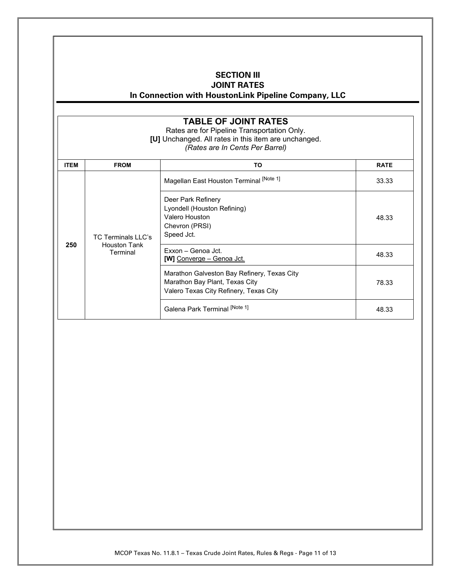### **SECTION III**

**JOINT RATES** 

**In Connection with HoustonLink Pipeline Company, LLC**

### **TABLE OF JOINT RATES**

Rates are for Pipeline Transportation Only. **[U]** Unchanged. All rates in this item are unchanged. *(Rates are In Cents Per Barrel)*

| <b>ITEM</b> | <b>FROM</b>                                           | TO                                                                                                                      | <b>RATE</b> |
|-------------|-------------------------------------------------------|-------------------------------------------------------------------------------------------------------------------------|-------------|
|             | TC Terminals LLC's<br><b>Houston Tank</b><br>Terminal | Magellan East Houston Terminal [Note 1]                                                                                 | 33.33       |
|             |                                                       | Deer Park Refinery<br>Lyondell (Houston Refining)<br>Valero Houston<br>Chevron (PRSI)<br>Speed Jct.                     | 48.33       |
| 250         |                                                       | Exxon - Genoa Jct.<br><b>[W]</b> Converge – Genoa Jct.                                                                  | 48.33       |
|             |                                                       | Marathon Galveston Bay Refinery, Texas City<br>Marathon Bay Plant, Texas City<br>Valero Texas City Refinery, Texas City | 78.33       |
|             |                                                       | Galena Park Terminal [Note 1]                                                                                           | 48.33       |